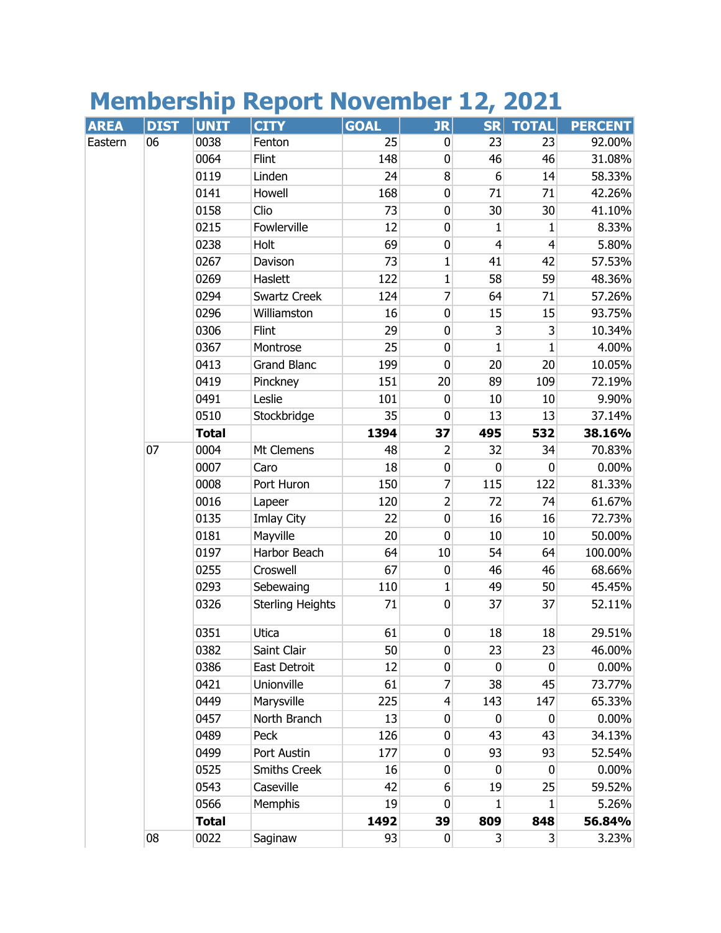## **Membership Report November 12, 2021**

| <b>AREA</b> | <b>DIST</b> | <b>UNIT</b>  | <b>CITY</b>             | <b>GOAL</b> | <b>JR</b>        | <b>SR</b>      | <b>TOTAL</b>            | <b>PERCENT</b> |
|-------------|-------------|--------------|-------------------------|-------------|------------------|----------------|-------------------------|----------------|
| Eastern     | 06          | 0038         | Fenton                  | 25          | 0                | 23             | 23                      | 92.00%         |
|             |             | 0064         | Flint                   | 148         | $\mathbf 0$      | 46             | 46                      | 31.08%         |
|             |             | 0119         | Linden                  | 24          | 8                | 6              | 14                      | 58.33%         |
|             |             | 0141         | Howell                  | 168         | $\mathbf 0$      | 71             | 71                      | 42.26%         |
|             |             | 0158         | Clio                    | 73          | $\mathbf 0$      | 30             | 30                      | 41.10%         |
|             |             | 0215         | Fowlerville             | 12          | $\pmb{0}$        | 1              | 1                       | 8.33%          |
|             |             | 0238         | Holt                    | 69          | $\pmb{0}$        | $\overline{4}$ | $\overline{4}$          | 5.80%          |
|             |             | 0267         | Davison                 | 73          | $\mathbf 1$      | 41             | 42                      | 57.53%         |
|             |             | 0269         | Haslett                 | 122         | 1                | 58             | 59                      | 48.36%         |
|             |             | 0294         | <b>Swartz Creek</b>     | 124         | 7                | 64             | 71                      | 57.26%         |
|             |             | 0296         | Williamston             | 16          | $\mathbf 0$      | 15             | 15                      | 93.75%         |
|             |             | 0306         | Flint                   | 29          | $\pmb{0}$        | 3              | 3                       | 10.34%         |
|             |             | 0367         | Montrose                | 25          | $\mathbf 0$      | $\mathbf{1}$   | $\mathbf{1}$            | 4.00%          |
|             |             | 0413         | <b>Grand Blanc</b>      | 199         | $\mathbf 0$      | 20             | 20                      | 10.05%         |
|             |             | 0419         | Pinckney                | 151         | 20               | 89             | 109                     | 72.19%         |
|             |             | 0491         | Leslie                  | 101         | $\mathbf 0$      | 10             | 10                      | 9.90%          |
|             |             | 0510         | Stockbridge             | 35          | $\mathbf 0$      | 13             | 13                      | 37.14%         |
|             |             | <b>Total</b> |                         | 1394        | 37               | 495            | 532                     | 38.16%         |
|             | 07          | 0004         | Mt Clemens              | 48          | 2                | 32             | 34                      | 70.83%         |
|             |             | 0007         | Caro                    | 18          | $\pmb{0}$        | 0              | 0                       | $0.00\%$       |
|             |             | 0008         | Port Huron              | 150         | $\overline{7}$   | 115            | 122                     | 81.33%         |
|             |             | 0016         | Lapeer                  | 120         | $\overline{2}$   | 72             | 74                      | 61.67%         |
|             |             | 0135         | Imlay City              | 22          | $\mathbf 0$      | 16             | 16                      | 72.73%         |
|             |             | 0181         | Mayville                | 20          | $\mathbf 0$      | 10             | 10                      | 50.00%         |
|             |             | 0197         | Harbor Beach            | 64          | 10               | 54             | 64                      | 100.00%        |
|             |             | 0255         | Croswell                | 67          | $\mathbf 0$      | 46             | 46                      | 68.66%         |
|             |             | 0293         | Sebewaing               | 110         | $\mathbf 1$      | 49             | 50                      | 45.45%         |
|             |             | 0326         | <b>Sterling Heights</b> | 71          | $\mathbf 0$      | 37             | 37                      | 52.11%         |
|             |             | 0351         | Utica                   | 61          | $\pmb{0}$        | 18             | 18                      | 29.51%         |
|             |             | 0382         | Saint Clair             | 50          | $\pmb{0}$        | 23             | 23                      | 46.00%         |
|             |             | 0386         | East Detroit            | 12          | 0                | 0              | 0                       | 0.00%          |
|             |             | 0421         | Unionville              | 61          | 7                | 38             | 45                      | 73.77%         |
|             |             | 0449         | Marysville              | 225         | $\overline{4}$   | 143            | 147                     | 65.33%         |
|             |             | 0457         | North Branch            | 13          | $\mathbf 0$      | $\mathbf 0$    | 0                       | 0.00%          |
|             |             | 0489         | Peck                    | 126         | $\pmb{0}$        | 43             | 43                      | 34.13%         |
|             |             | 0499         | Port Austin             | 177         | $\mathbf 0$      | 93             | 93                      | 52.54%         |
|             |             | 0525         | <b>Smiths Creek</b>     | 16          | $\mathbf 0$      | $\mathbf 0$    | 0                       | $0.00\%$       |
|             |             | 0543         | Caseville               | 42          | 6                | 19             | 25                      | 59.52%         |
|             |             | 0566         | Memphis                 | 19          | $\mathbf 0$      | 1              | $\mathbf{1}$            | 5.26%          |
|             |             | <b>Total</b> |                         | 1492        | 39               | 809            | 848                     | 56.84%         |
|             | 08          | 0022         | Saginaw                 | 93          | $\boldsymbol{0}$ | $\overline{3}$ | $\overline{\mathbf{3}}$ | 3.23%          |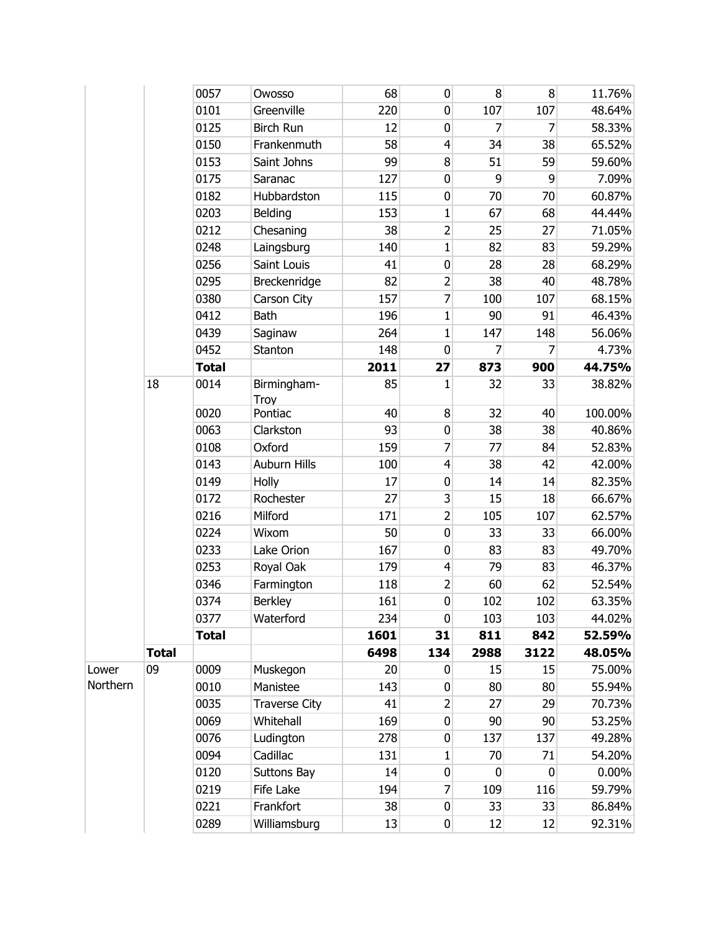|          |              | 0057         | Owosso               | 68              | 0                       | 8              | 8           | 11.76%   |
|----------|--------------|--------------|----------------------|-----------------|-------------------------|----------------|-------------|----------|
|          |              | 0101         | Greenville           | 220             | $\pmb{0}$               | 107            | 107         | 48.64%   |
|          |              | 0125         | <b>Birch Run</b>     | 12              | 0                       | 7              | 7           | 58.33%   |
|          |              | 0150         | Frankenmuth          | 58              | $\overline{4}$          | 34             | 38          | 65.52%   |
|          |              | 0153         | Saint Johns          | 99              | $\bf{8}$                | 51             | 59          | 59.60%   |
|          |              | 0175         | Saranac              | 127             | $\mathbf 0$             | 9              | 9           | 7.09%    |
|          |              | 0182         | Hubbardston          | 115             | $\pmb{0}$               | 70             | 70          | 60.87%   |
|          |              | 0203         | Belding              | 153             | 1                       | 67             | 68          | 44.44%   |
|          |              | 0212         | Chesaning            | 38              | $\overline{2}$          | 25             | 27          | 71.05%   |
|          |              | 0248         | Laingsburg           | 140             | $\mathbf{1}$            | 82             | 83          | 59.29%   |
|          |              | 0256         | Saint Louis          | 41              | $\pmb{0}$               | 28             | 28          | 68.29%   |
|          |              | 0295         | Breckenridge         | 82              | $\overline{2}$          | 38             | 40          | 48.78%   |
|          |              | 0380         | Carson City          | 157             | 7                       | 100            | 107         | 68.15%   |
|          |              | 0412         | <b>Bath</b>          | 196             | $\mathbf{1}$            | 90             | 91          | 46.43%   |
|          |              | 0439         | Saginaw              | 264             | 1                       | 147            | 148         | 56.06%   |
|          |              | 0452         | Stanton              | 148             | $\mathbf 0$             | 7              | 7           | 4.73%    |
|          |              | <b>Total</b> |                      | 2011            | 27                      | 873            | 900         | 44.75%   |
|          | 18           | 0014         | Birmingham-<br>Troy  | 85              | 1                       | 32             | 33          | 38.82%   |
|          |              | 0020         | Pontiac              | 40              | 8                       | 32             | 40          | 100.00%  |
|          |              | 0063         | Clarkston            | 93              | $\overline{0}$          | 38             | 38          | 40.86%   |
|          |              | 0108         | Oxford               | 159             | 7                       | 77             | 84          | 52.83%   |
|          |              | 0143         | Auburn Hills         | 100             | $\overline{4}$          | 38             | 42          | 42.00%   |
|          |              | 0149         | Holly                | 17              | 0                       | 14             | 14          | 82.35%   |
|          |              | 0172         | Rochester            | 27              | $\overline{\mathbf{3}}$ | 15             | 18          | 66.67%   |
|          |              | 0216         | Milford              | 171             | $\overline{2}$          | 105            | 107         | 62.57%   |
|          |              | 0224         | Wixom                | 50              | $\overline{0}$          | 33             | 33          | 66.00%   |
|          |              | 0233         | Lake Orion           | 167             | $\overline{0}$          | 83             | 83          | 49.70%   |
|          |              | 0253         | Royal Oak            | 179             | $\overline{4}$          | 79             | 83          | 46.37%   |
|          |              | 0346         | Farmington           | 118             | $\overline{2}$          | 60             | 62          | 52.54%   |
|          |              | 0374         | <b>Berkley</b>       | 161             | $\overline{0}$          | 102            | 102         | 63.35%   |
|          |              | 0377         | Waterford            | 234             | $\overline{0}$          | 103            | 103         | 44.02%   |
|          |              | <b>Total</b> |                      | 1601            | 31                      | 811            | 842         | 52.59%   |
|          | <b>Total</b> |              |                      | 6498            | 134                     | 2988           | 3122        | 48.05%   |
| Lower    | 09           | 0009         | Muskegon             | 20 <sup>°</sup> | $\overline{0}$          | 15             | 15          | 75.00%   |
| Northern |              | 0010         | Manistee             | 143             | $\overline{0}$          | 80             | 80          | 55.94%   |
|          |              | 0035         | <b>Traverse City</b> | 41              | $\overline{2}$          | 27             | 29          | 70.73%   |
|          |              | 0069         | Whitehall            | 169             | $\overline{0}$          | 90             | 90          | 53.25%   |
|          |              | 0076         | Ludington            | 278             | $\overline{0}$          | 137            | 137         | 49.28%   |
|          |              | 0094         | Cadillac             | 131             | 1                       | 70             | 71          | 54.20%   |
|          |              | 0120         | Suttons Bay          | 14              | $\overline{0}$          | $\overline{0}$ | $\mathbf 0$ | $0.00\%$ |
|          |              | 0219         | Fife Lake            | 194             | $\overline{7}$          | 109            | 116         | 59.79%   |
|          |              | 0221         | Frankfort            | 38              | $\overline{0}$          | 33             | 33          | 86.84%   |
|          |              | 0289         | Williamsburg         | 13              | $\overline{0}$          | 12             | 12          | 92.31%   |
|          |              |              |                      |                 |                         |                |             |          |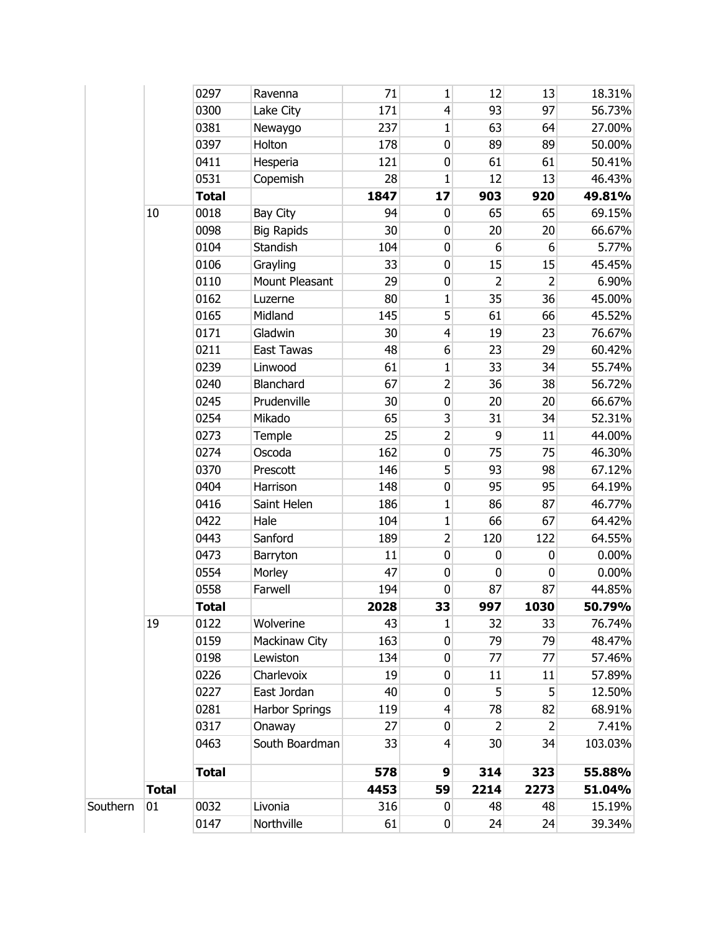|          |              | 0297         | Ravenna               | 71              | 1                       | 12              | 13             | 18.31%   |
|----------|--------------|--------------|-----------------------|-----------------|-------------------------|-----------------|----------------|----------|
|          |              | 0300         | Lake City             | 171             | $\overline{4}$          | 93              | 97             | 56.73%   |
|          |              | 0381         | Newaygo               | 237             | 1                       | 63              | 64             | 27.00%   |
|          |              | 0397         | Holton                | 178             | $\pmb{0}$               | 89              | 89             | 50.00%   |
|          |              | 0411         | Hesperia              | 121             | $\pmb{0}$               | 61              | 61             | 50.41%   |
|          |              | 0531         | Copemish              | 28              | $\mathbf{1}$            | 12              | 13             | 46.43%   |
|          |              | <b>Total</b> |                       | 1847            | 17                      | 903             | 920            | 49.81%   |
|          | 10           | 0018         | Bay City              | 94              | 0                       | 65              | 65             | 69.15%   |
|          |              | 0098         | <b>Big Rapids</b>     | 30              | $\pmb{0}$               | 20              | 20             | 66.67%   |
|          |              | 0104         | Standish              | 104             | 0                       | 6               | 6              | 5.77%    |
|          |              | 0106         | Grayling              | 33              | 0                       | 15              | 15             | 45.45%   |
|          |              | 0110         | Mount Pleasant        | 29              | $\pmb{0}$               | 2               | $\overline{2}$ | 6.90%    |
|          |              | 0162         | Luzerne               | 80              | 1                       | 35              | 36             | 45.00%   |
|          |              | 0165         | Midland               | 145             | 5                       | 61              | 66             | 45.52%   |
|          |              | 0171         | Gladwin               | 30 <sup>°</sup> | $\overline{4}$          | 19              | 23             | 76.67%   |
|          |              | 0211         | East Tawas            | 48              | 6                       | 23              | 29             | 60.42%   |
|          |              | 0239         | Linwood               | 61              | 1                       | 33              | 34             | 55.74%   |
|          |              | 0240         | Blanchard             | 67              | $\overline{2}$          | 36              | 38             | 56.72%   |
|          |              | 0245         | Prudenville           | 30 <sup>°</sup> | $\overline{\textbf{0}}$ | 20 <sup>°</sup> | 20             | 66.67%   |
|          |              | 0254         | Mikado                | 65              | $\overline{\mathbf{3}}$ | 31              | 34             | 52.31%   |
|          |              | 0273         | Temple                | 25              | $\overline{2}$          | 9               | 11             | 44.00%   |
|          |              | 0274         | Oscoda                | 162             | 0                       | 75              | 75             | 46.30%   |
|          |              | 0370         | Prescott              | 146             | 5                       | 93              | 98             | 67.12%   |
|          |              | 0404         | Harrison              | 148             | $\pmb{0}$               | 95              | 95             | 64.19%   |
|          |              | 0416         | Saint Helen           | 186             | $\mathbf{1}$            | 86              | 87             | 46.77%   |
|          |              | 0422         | Hale                  | 104             | $\mathbf{1}$            | 66              | 67             | 64.42%   |
|          |              | 0443         | Sanford               | 189             | $\overline{2}$          | 120             | 122            | 64.55%   |
|          |              | 0473         | Barryton              | 11              | $\pmb{0}$               | $\pmb{0}$       | $\pmb{0}$      | $0.00\%$ |
|          |              | 0554         | Morley                | 47              | 0                       | 0               | $\mathbf 0$    | $0.00\%$ |
|          |              | 0558         | Farwell               | 194             | 0                       | 87              | 87             | 44.85%   |
|          |              | <b>Total</b> |                       | 2028            | 33                      | 997             | 1030           | 50.79%   |
|          | 19           | 0122         | Wolverine             | 43              | 1                       | 32              | 33             | 76.74%   |
|          |              | 0159         | Mackinaw City         | 163             | $\mathbf 0$             | 79              | 79             | 48.47%   |
|          |              | 0198         | Lewiston              | 134             | 0                       | 77              | 77             | 57.46%   |
|          |              | 0226         | Charlevoix            | 19              | $\boldsymbol{0}$        | 11              | 11             | 57.89%   |
|          |              | 0227         | East Jordan           | 40              | 0                       | 5               | 5              | 12.50%   |
|          |              | 0281         | <b>Harbor Springs</b> | 119             | $\overline{4}$          | 78              | 82             | 68.91%   |
|          |              | 0317         | Onaway                | 27              | $\boldsymbol{0}$        | $\overline{2}$  | $\overline{2}$ | 7.41%    |
|          |              | 0463         | South Boardman        | 33              | $\overline{4}$          | 30              | 34             | 103.03%  |
|          |              |              |                       |                 |                         |                 |                |          |
|          |              | <b>Total</b> |                       | 578             | 9                       | 314             | 323            | 55.88%   |
|          | <b>Total</b> |              |                       | 4453            | 59                      | 2214            | 2273           | 51.04%   |
| Southern | 01           | 0032         | Livonia               | 316             | 0                       | 48              | 48             | 15.19%   |
|          |              | 0147         | Northville            | 61              | $\overline{0}$          | 24              | 24             | 39.34%   |
|          |              |              |                       |                 |                         |                 |                |          |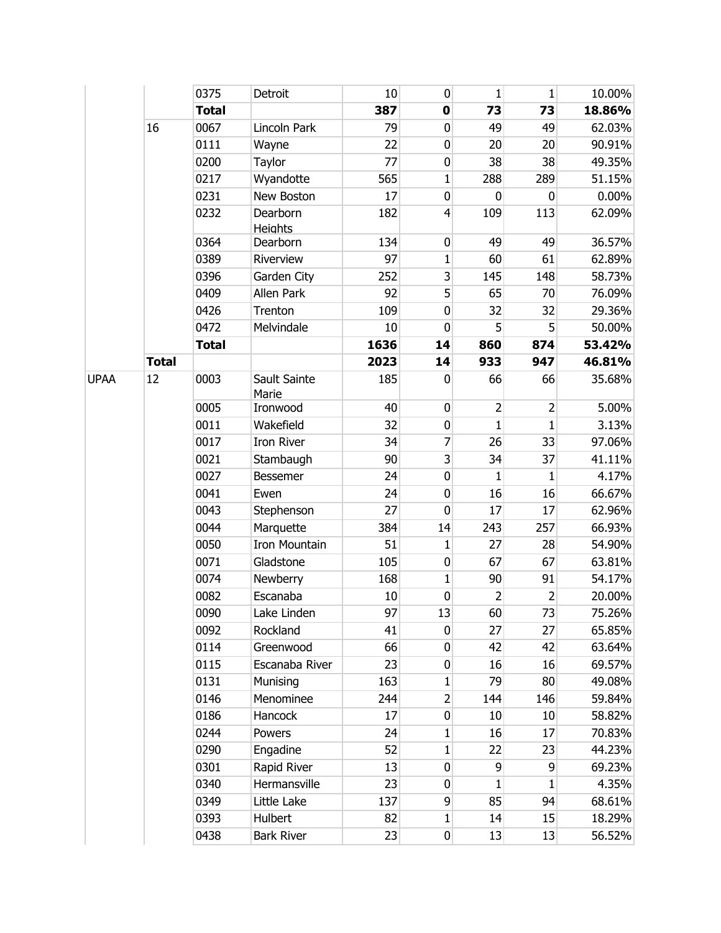|             |              | 0375         | Detroit                    | 10   | $\pmb{0}$      | 1              | 1              | 10.00%   |
|-------------|--------------|--------------|----------------------------|------|----------------|----------------|----------------|----------|
|             |              | <b>Total</b> |                            | 387  | $\mathbf 0$    | 73             | 73             | 18.86%   |
|             | 16           | 0067         | Lincoln Park               | 79   | 0              | 49             | 49             | 62.03%   |
|             |              | 0111         | Wayne                      | 22   | 0              | 20             | 20             | 90.91%   |
|             |              | 0200         | Taylor                     | 77   | $\pmb{0}$      | 38             | 38             | 49.35%   |
|             |              | 0217         | Wyandotte                  | 565  | $\mathbf{1}$   | 288            | 289            | 51.15%   |
|             |              | 0231         | New Boston                 | 17   | $\mathbf 0$    | 0              | 0              | $0.00\%$ |
|             |              | 0232         | Dearborn<br><b>Heights</b> | 182  | $\overline{4}$ | 109            | 113            | 62.09%   |
|             |              | 0364         | Dearborn                   | 134  | 0              | 49             | 49             | 36.57%   |
|             |              | 0389         | Riverview                  | 97   | $\mathbf{1}$   | 60             | 61             | 62.89%   |
|             |              | 0396         | Garden City                | 252  | 3              | 145            | 148            | 58.73%   |
|             |              | 0409         | Allen Park                 | 92   | 5              | 65             | 70             | 76.09%   |
|             |              | 0426         | Trenton                    | 109  | $\pmb{0}$      | 32             | 32             | 29.36%   |
|             |              | 0472         | Melvindale                 | 10   | 0              | 5              | 5              | 50.00%   |
|             |              | <b>Total</b> |                            | 1636 | 14             | 860            | 874            | 53.42%   |
|             | <b>Total</b> |              |                            | 2023 | 14             | 933            | 947            | 46.81%   |
| <b>UPAA</b> | 12           | 0003         | Sault Sainte<br>Marie      | 185  | 0              | 66             | 66             | 35.68%   |
|             |              | 0005         | Ironwood                   | 40   | $\pmb{0}$      | $\overline{2}$ | $\overline{2}$ | 5.00%    |
|             |              | 0011         | Wakefield                  | 32   | 0              | $\mathbf{1}$   | $\mathbf{1}$   | 3.13%    |
|             |              | 0017         | Iron River                 | 34   | $\overline{7}$ | 26             | 33             | 97.06%   |
|             |              | 0021         | Stambaugh                  | 90   | $\overline{3}$ | 34             | 37             | 41.11%   |
|             |              | 0027         | Bessemer                   | 24   | 0              | 1              | 1              | 4.17%    |
|             |              | 0041         | Ewen                       | 24   | $\mathbf 0$    | 16             | 16             | 66.67%   |
|             |              | 0043         | Stephenson                 | 27   | $\mathbf 0$    | 17             | 17             | 62.96%   |
|             |              | 0044         | Marquette                  | 384  | 14             | 243            | 257            | 66.93%   |
|             |              | 0050         | <b>Iron Mountain</b>       | 51   | 1              | 27             | 28             | 54.90%   |
|             |              | 0071         | Gladstone                  | 105  | $\mathbf 0$    | 67             | 67             | 63.81%   |
|             |              | 0074         | Newberry                   | 168  | 1              | 90             | 91             | 54.17%   |
|             |              | 0082         | Escanaba                   | 10   | $\mathbf 0$    | 2              | $\overline{2}$ | 20.00%   |
|             |              | 0090         | Lake Linden                | 97   | 13             | 60             | 73             | 75.26%   |
|             |              | 0092         | Rockland                   | 41   | 0              | 27             | 27             | 65.85%   |
|             |              | 0114         | Greenwood                  | 66   | 0              | 42             | 42             | 63.64%   |
|             |              | 0115         | Escanaba River             | 23   | 0              | 16             | 16             | 69.57%   |
|             |              | 0131         | Munising                   | 163  | 1              | 79             | 80             | 49.08%   |
|             |              | 0146         | Menominee                  | 244  | $\overline{2}$ | 144            | 146            | 59.84%   |
|             |              | 0186         | Hancock                    | 17   | $\overline{0}$ | 10             | 10             | 58.82%   |
|             |              | 0244         | Powers                     | 24   | $\mathbf{1}$   | 16             | 17             | 70.83%   |
|             |              | 0290         | Engadine                   | 52   | 1              | 22             | 23             | 44.23%   |
|             |              | 0301         | Rapid River                | 13   | $\mathbf 0$    | 9              | 9              | 69.23%   |
|             |              | 0340         | Hermansville               | 23   | 0              | 1              | 1              | 4.35%    |
|             |              | 0349         | Little Lake                | 137  | 9              | 85             | 94             | 68.61%   |
|             |              | 0393         | Hulbert                    | 82   | $\mathbf{1}$   | 14             | 15             | 18.29%   |
|             |              | 0438         | <b>Bark River</b>          | 23   | $\overline{0}$ | 13             | 13             | 56.52%   |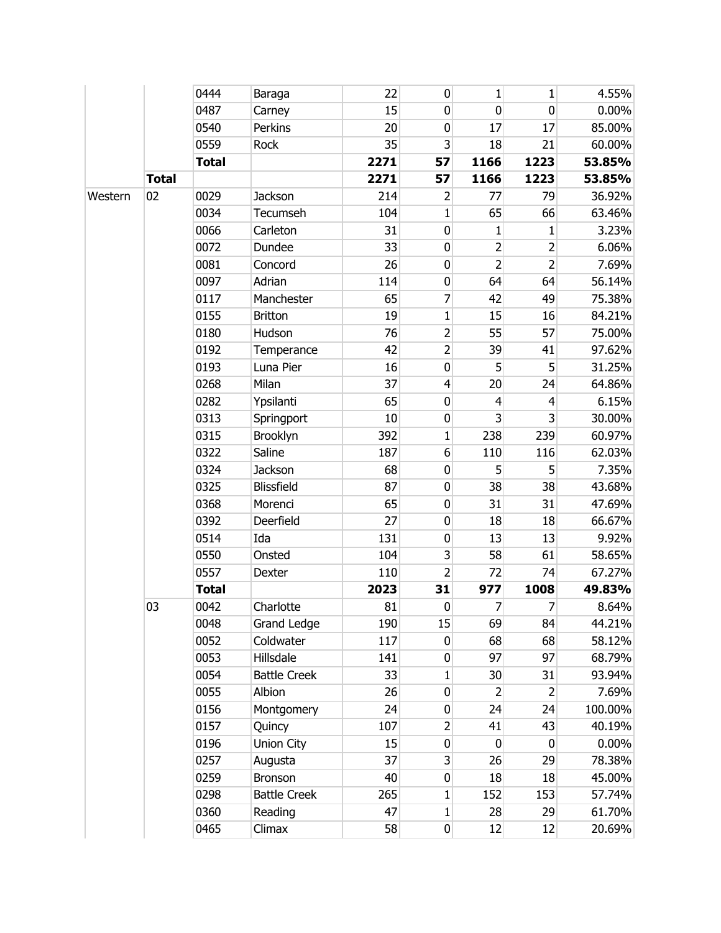|         |              | 0444         | Baraga              | 22   | 0                       | 1              | 1              | 4.55%    |
|---------|--------------|--------------|---------------------|------|-------------------------|----------------|----------------|----------|
|         |              | 0487         | Carney              | 15   | 0                       | $\mathbf 0$    | $\mathbf 0$    | $0.00\%$ |
|         |              | 0540         | Perkins             | 20   | 0                       | 17             | 17             | 85.00%   |
|         |              | 0559         | Rock                | 35   | 3                       | 18             | 21             | 60.00%   |
|         |              | <b>Total</b> |                     | 2271 | 57                      | 1166           | 1223           | 53.85%   |
|         | <b>Total</b> |              |                     | 2271 | 57                      | 1166           | 1223           | 53.85%   |
| Western | 02           | 0029         | <b>Jackson</b>      | 214  | 2                       | 77             | 79             | 36.92%   |
|         |              | 0034         | Tecumseh            | 104  | $\mathbf{1}$            | 65             | 66             | 63.46%   |
|         |              | 0066         | Carleton            | 31   | 0                       | $\mathbf{1}$   | $\mathbf 1$    | 3.23%    |
|         |              | 0072         | Dundee              | 33   | 0                       | $\overline{2}$ | 2              | 6.06%    |
|         |              | 0081         | Concord             | 26   | 0                       | $\overline{2}$ | $\overline{2}$ | 7.69%    |
|         |              | 0097         | Adrian              | 114  | $\pmb{0}$               | 64             | 64             | 56.14%   |
|         |              | 0117         | Manchester          | 65   | 7                       | 42             | 49             | 75.38%   |
|         |              | 0155         | <b>Britton</b>      | 19   | $\mathbf{1}$            | 15             | 16             | 84.21%   |
|         |              | 0180         | Hudson              | 76   | $\overline{2}$          | 55             | 57             | 75.00%   |
|         |              | 0192         | Temperance          | 42   | $\overline{2}$          | 39             | 41             | 97.62%   |
|         |              | 0193         | Luna Pier           | 16   | $\pmb{0}$               | 5              | 5              | 31.25%   |
|         |              | 0268         | Milan               | 37   | $\overline{4}$          | 20             | 24             | 64.86%   |
|         |              | 0282         | Ypsilanti           | 65   | $\pmb{0}$               | 4              | 4              | 6.15%    |
|         |              | 0313         | Springport          | 10   | 0                       | 3              | $\overline{3}$ | 30.00%   |
|         |              | 0315         | Brooklyn            | 392  | 1                       | 238            | 239            | 60.97%   |
|         |              | 0322         | Saline              | 187  | 6                       | 110            | 116            | 62.03%   |
|         |              | 0324         | Jackson             | 68   | 0                       | 5              | 5              | 7.35%    |
|         |              | 0325         | Blissfield          | 87   | $\pmb{0}$               | 38             | 38             | 43.68%   |
|         |              | 0368         | Morenci             | 65   | 0                       | 31             | 31             | 47.69%   |
|         |              | 0392         | Deerfield           | 27   | $\pmb{0}$               | 18             | 18             | 66.67%   |
|         |              | 0514         | Ida                 | 131  | 0                       | 13             | 13             | 9.92%    |
|         |              | 0550         | Onsted              | 104  | 3                       | 58             | 61             | 58.65%   |
|         |              | 0557         | Dexter              | 110  | $\overline{2}$          | 72             | 74             | 67.27%   |
|         |              | <b>Total</b> |                     | 2023 | 31                      | 977            | 1008           | 49.83%   |
|         | 03           | 0042         | Charlotte           | 81   | 0                       | 7              | 7              | 8.64%    |
|         |              | 0048         | <b>Grand Ledge</b>  | 190  | 15                      | 69             | 84             | 44.21%   |
|         |              | 0052         | Coldwater           | 117  | 0                       | 68             | 68             | 58.12%   |
|         |              | 0053         | Hillsdale           | 141  | 0                       | 97             | 97             | 68.79%   |
|         |              | 0054         | <b>Battle Creek</b> | 33   | $\mathbf{1}$            | 30             | 31             | 93.94%   |
|         |              | 0055         | Albion              | 26   | 0                       | 2              | $\overline{2}$ | 7.69%    |
|         |              | 0156         | Montgomery          | 24   | 0                       | 24             | 24             | 100.00%  |
|         |              | 0157         | Quincy              | 107  | $\overline{2}$          | 41             | 43             | 40.19%   |
|         |              | 0196         | Union City          | 15   | 0                       | $\mathbf 0$    | 0              | $0.00\%$ |
|         |              | 0257         | Augusta             | 37   | $\overline{\mathbf{3}}$ | 26             | 29             | 78.38%   |
|         |              | 0259         | Bronson             | 40   | 0                       | 18             | 18             | 45.00%   |
|         |              | 0298         | <b>Battle Creek</b> | 265  | $\mathbf{1}$            | 152            | 153            | 57.74%   |
|         |              | 0360         | Reading             | 47   | 1                       | 28             | 29             | 61.70%   |
|         |              | 0465         | Climax              | 58   | $\overline{0}$          | 12             | 12             | 20.69%   |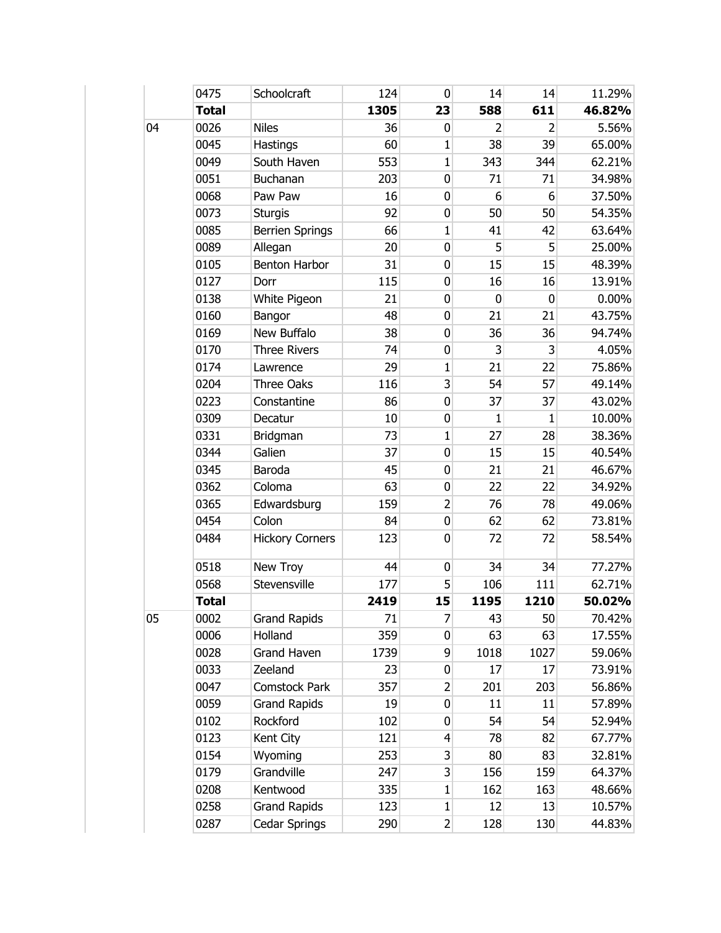|    | 0475         | Schoolcraft            | 124  | 0                       | 14          | 14          | 11.29%   |
|----|--------------|------------------------|------|-------------------------|-------------|-------------|----------|
|    | <b>Total</b> |                        | 1305 | 23                      | 588         | 611         | 46.82%   |
| 04 | 0026         | <b>Niles</b>           | 36   | 0                       | 2           | 2           | 5.56%    |
|    | 0045         | Hastings               | 60   | $\mathbf 1$             | 38          | 39          | 65.00%   |
|    | 0049         | South Haven            | 553  | $\mathbf{1}$            | 343         | 344         | 62.21%   |
|    | 0051         | Buchanan               | 203  | $\mathbf 0$             | 71          | 71          | 34.98%   |
|    | 0068         | Paw Paw                | 16   | 0                       | 6           | 6           | 37.50%   |
|    | 0073         | <b>Sturgis</b>         | 92   | 0                       | 50          | 50          | 54.35%   |
|    | 0085         | <b>Berrien Springs</b> | 66   | $\mathbf{1}$            | 41          | 42          | 63.64%   |
|    | 0089         | Allegan                | 20   | 0                       | 5           | 5           | 25.00%   |
|    | 0105         | Benton Harbor          | 31   | 0                       | 15          | 15          | 48.39%   |
|    | 0127         | Dorr                   | 115  | $\pmb{0}$               | 16          | 16          | 13.91%   |
|    | 0138         | White Pigeon           | 21   | 0                       | $\mathbf 0$ | $\mathbf 0$ | $0.00\%$ |
|    | 0160         | Bangor                 | 48   | $\pmb{0}$               | 21          | 21          | 43.75%   |
|    | 0169         | New Buffalo            | 38   | 0                       | 36          | 36          | 94.74%   |
|    | 0170         | <b>Three Rivers</b>    | 74   | 0                       | 3           | 3           | 4.05%    |
|    | 0174         | Lawrence               | 29   | $\mathbf{1}$            | 21          | 22          | 75.86%   |
|    | 0204         | <b>Three Oaks</b>      | 116  | $\overline{3}$          | 54          | 57          | 49.14%   |
|    | 0223         | Constantine            | 86   | $\pmb{0}$               | 37          | 37          | 43.02%   |
|    | 0309         | Decatur                | 10   | 0                       | 1           | 1           | 10.00%   |
|    | 0331         | Bridgman               | 73   | $\mathbf{1}$            | 27          | 28          | 38.36%   |
|    | 0344         | Galien                 | 37   | 0                       | 15          | 15          | 40.54%   |
|    | 0345         | Baroda                 | 45   | 0                       | 21          | 21          | 46.67%   |
|    | 0362         | Coloma                 | 63   | 0                       | 22          | 22          | 34.92%   |
|    | 0365         | Edwardsburg            | 159  | $\overline{2}$          | 76          | 78          | 49.06%   |
|    | 0454         | Colon                  | 84   | 0                       | 62          | 62          | 73.81%   |
|    | 0484         | <b>Hickory Corners</b> | 123  | 0                       | 72          | 72          | 58.54%   |
|    | 0518         | New Troy               | 44   | $\pmb{0}$               | 34          | 34          | 77.27%   |
|    | 0568         | Stevensville           | 177  | 5                       | 106         | 111         | 62.71%   |
|    | <b>Total</b> |                        | 2419 | 15                      | 1195        | 1210        | 50.02%   |
| 05 | 0002         | <b>Grand Rapids</b>    | 71   | 7                       | 43          | 50          | 70.42%   |
|    | 0006         | Holland                | 359  | $\overline{0}$          | 63          | 63          | 17.55%   |
|    | 0028         | <b>Grand Haven</b>     | 1739 | $\overline{9}$          | 1018        | 1027        | 59.06%   |
|    | 0033         | Zeeland                | 23   | 0                       | 17          | 17          | 73.91%   |
|    | 0047         | Comstock Park          | 357  | $\overline{2}$          | 201         | 203         | 56.86%   |
|    | 0059         | <b>Grand Rapids</b>    | 19   | $\boldsymbol{0}$        | 11          | 11          | 57.89%   |
|    | 0102         | Rockford               | 102  | 0                       | 54          | 54          | 52.94%   |
|    | 0123         | Kent City              | 121  | $\overline{4}$          | 78          | 82          | 67.77%   |
|    | 0154         | Wyoming                | 253  | $\mathsf{S}$            | 80          | 83          | 32.81%   |
|    | 0179         | Grandville             | 247  | $\overline{\mathbf{3}}$ | 156         | 159         | 64.37%   |
|    | 0208         | Kentwood               | 335  | $\mathbf{1}$            | 162         | 163         | 48.66%   |
|    | 0258         | <b>Grand Rapids</b>    | 123  | $\mathbf{1}$            | 12          | 13          | 10.57%   |
|    | 0287         | Cedar Springs          | 290  | $\overline{2}$          | 128         | 130         | 44.83%   |
|    |              |                        |      |                         |             |             |          |